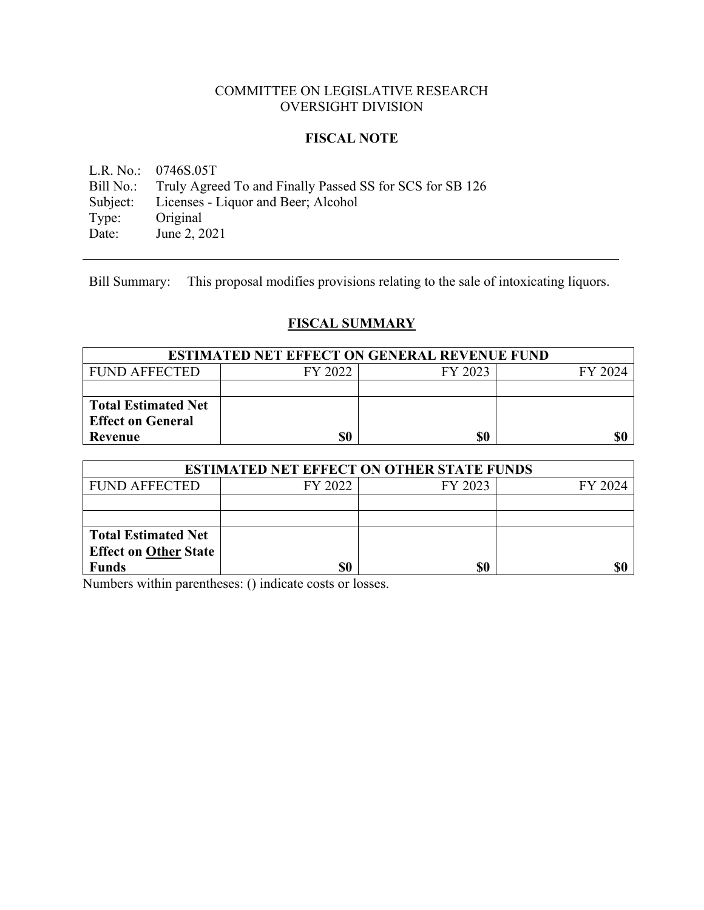# COMMITTEE ON LEGISLATIVE RESEARCH OVERSIGHT DIVISION

# **FISCAL NOTE**

L.R. No.: 0746S.05T Bill No.: Truly Agreed To and Finally Passed SS for SCS for SB 126 Subject: Licenses - Liquor and Beer; Alcohol<br>Type: Original Type: Original<br>Date: June 2, 2 June 2, 2021

Bill Summary: This proposal modifies provisions relating to the sale of intoxicating liquors.

# **FISCAL SUMMARY**

| <b>ESTIMATED NET EFFECT ON GENERAL REVENUE FUND</b> |         |         |         |
|-----------------------------------------------------|---------|---------|---------|
| <b>FUND AFFECTED</b>                                | FY 2022 | FY 2023 | FY 2024 |
|                                                     |         |         |         |
| <b>Total Estimated Net</b>                          |         |         |         |
| <b>Effect on General</b>                            |         |         |         |
| Revenue                                             | \$0     | \$0     | \$0     |

| <b>ESTIMATED NET EFFECT ON OTHER STATE FUNDS</b> |         |         |         |  |
|--------------------------------------------------|---------|---------|---------|--|
| <b>FUND AFFECTED</b>                             | FY 2022 | FY 2023 | FY 2024 |  |
|                                                  |         |         |         |  |
|                                                  |         |         |         |  |
| <b>Total Estimated Net</b>                       |         |         |         |  |
| <b>Effect on Other State</b>                     |         |         |         |  |
| <b>Funds</b>                                     | \$0     | \$0     |         |  |

Numbers within parentheses: () indicate costs or losses.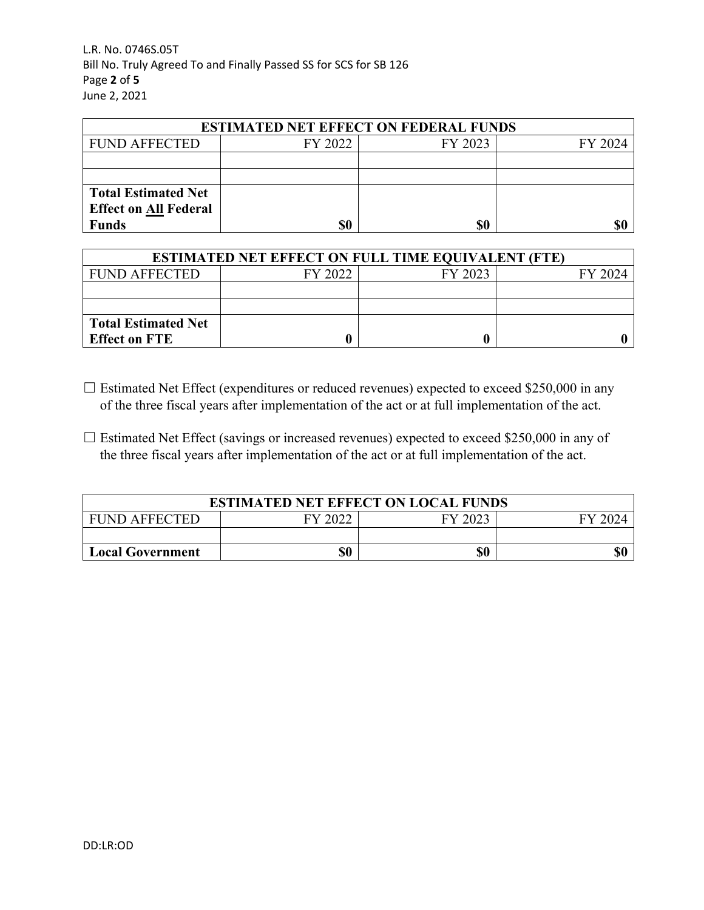L.R. No. 0746S.05T Bill No. Truly Agreed To and Finally Passed SS for SCS for SB 126 Page **2** of **5** June 2, 2021

| <b>ESTIMATED NET EFFECT ON FEDERAL FUNDS</b> |         |         |         |  |
|----------------------------------------------|---------|---------|---------|--|
| <b>FUND AFFECTED</b>                         | FY 2022 | FY 2023 | FY 2024 |  |
|                                              |         |         |         |  |
|                                              |         |         |         |  |
| <b>Total Estimated Net</b>                   |         |         |         |  |
| <b>Effect on All Federal</b>                 |         |         |         |  |
| <b>Funds</b>                                 | \$0     | \$0     | \$0     |  |

| <b>ESTIMATED NET EFFECT ON FULL TIME EQUIVALENT (FTE)</b> |         |         |         |  |
|-----------------------------------------------------------|---------|---------|---------|--|
| <b>FUND AFFECTED</b>                                      | FY 2022 | FY 2023 | FY 2024 |  |
|                                                           |         |         |         |  |
|                                                           |         |         |         |  |
| <b>Total Estimated Net</b>                                |         |         |         |  |
| <b>Effect on FTE</b>                                      |         |         |         |  |

- ☐ Estimated Net Effect (expenditures or reduced revenues) expected to exceed \$250,000 in any of the three fiscal years after implementation of the act or at full implementation of the act.
- $\Box$  Estimated Net Effect (savings or increased revenues) expected to exceed \$250,000 in any of the three fiscal years after implementation of the act or at full implementation of the act.

| <b>ESTIMATED NET EFFECT ON LOCAL FUNDS</b> |         |         |  |
|--------------------------------------------|---------|---------|--|
| <b>FUND AFFECTED</b>                       | FY 2022 | FY 2023 |  |
|                                            |         |         |  |
| <b>Local Government</b>                    | \$0     | \$0     |  |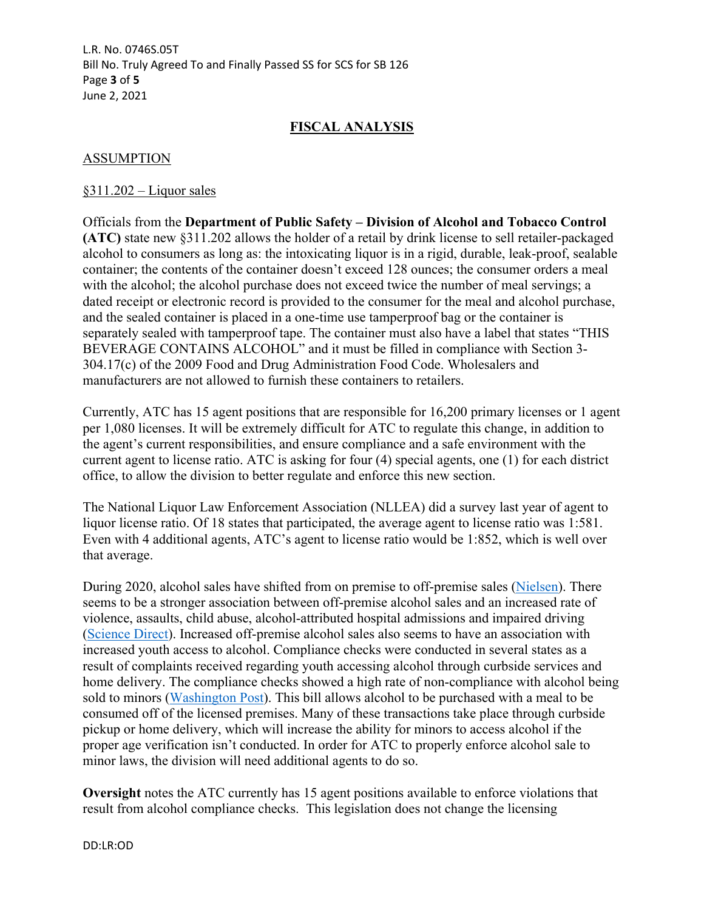L.R. No. 0746S.05T Bill No. Truly Agreed To and Finally Passed SS for SCS for SB 126 Page **3** of **5** June 2, 2021

# **FISCAL ANALYSIS**

## ASSUMPTION

#### §311.202 – Liquor sales

Officials from the **Department of Public Safety – Division of Alcohol and Tobacco Control (ATC)** state new §311.202 allows the holder of a retail by drink license to sell retailer-packaged alcohol to consumers as long as: the intoxicating liquor is in a rigid, durable, leak-proof, sealable container; the contents of the container doesn't exceed 128 ounces; the consumer orders a meal with the alcohol; the alcohol purchase does not exceed twice the number of meal servings; a dated receipt or electronic record is provided to the consumer for the meal and alcohol purchase, and the sealed container is placed in a one-time use tamperproof bag or the container is separately sealed with tamperproof tape. The container must also have a label that states "THIS BEVERAGE CONTAINS ALCOHOL" and it must be filled in compliance with Section 3- 304.17(c) of the 2009 Food and Drug Administration Food Code. Wholesalers and manufacturers are not allowed to furnish these containers to retailers.

Currently, ATC has 15 agent positions that are responsible for 16,200 primary licenses or 1 agent per 1,080 licenses. It will be extremely difficult for ATC to regulate this change, in addition to the agent's current responsibilities, and ensure compliance and a safe environment with the current agent to license ratio. ATC is asking for four (4) special agents, one (1) for each district office, to allow the division to better regulate and enforce this new section.

The National Liquor Law Enforcement Association (NLLEA) did a survey last year of agent to liquor license ratio. Of 18 states that participated, the average agent to license ratio was 1:581. Even with 4 additional agents, ATC's agent to license ratio would be 1:852, which is well over that average.

During 2020, alcohol sales have shifted from on premise to off-premise sales ([Nielsen\)](https://www.nielsen.com/us/en/insights/article/2020/rebalancing-the-covid-19-effect-on-alcohol-sales/). There seems to be a stronger association between off-premise alcohol sales and an increased rate of violence, assaults, child abuse, alcohol-attributed hospital admissions and impaired driving ([Science Direct](https://www.sciencedirect.com/science/article/abs/pii/S0001457507000048?casa_token=4vbhWtFycpYAAAAA:jHG6T35Clh152DxVK8MFay7VjA45JOKqW7PvlGDvmLzTUGuRH4DHKNI7KQYDqM7sJQAe1yo)). Increased off-premise alcohol sales also seems to have an association with increased youth access to alcohol. Compliance checks were conducted in several states as a result of complaints received regarding youth accessing alcohol through curbside services and home delivery. The compliance checks showed a high rate of non-compliance with alcohol being sold to minors ([Washington Post](https://www.washingtonpost.com/technology/2020/04/21/uber-eats-cocktails-coronavirus/)). This bill allows alcohol to be purchased with a meal to be consumed off of the licensed premises. Many of these transactions take place through curbside pickup or home delivery, which will increase the ability for minors to access alcohol if the proper age verification isn't conducted. In order for ATC to properly enforce alcohol sale to minor laws, the division will need additional agents to do so.

**Oversight** notes the ATC currently has 15 agent positions available to enforce violations that result from alcohol compliance checks. This legislation does not change the licensing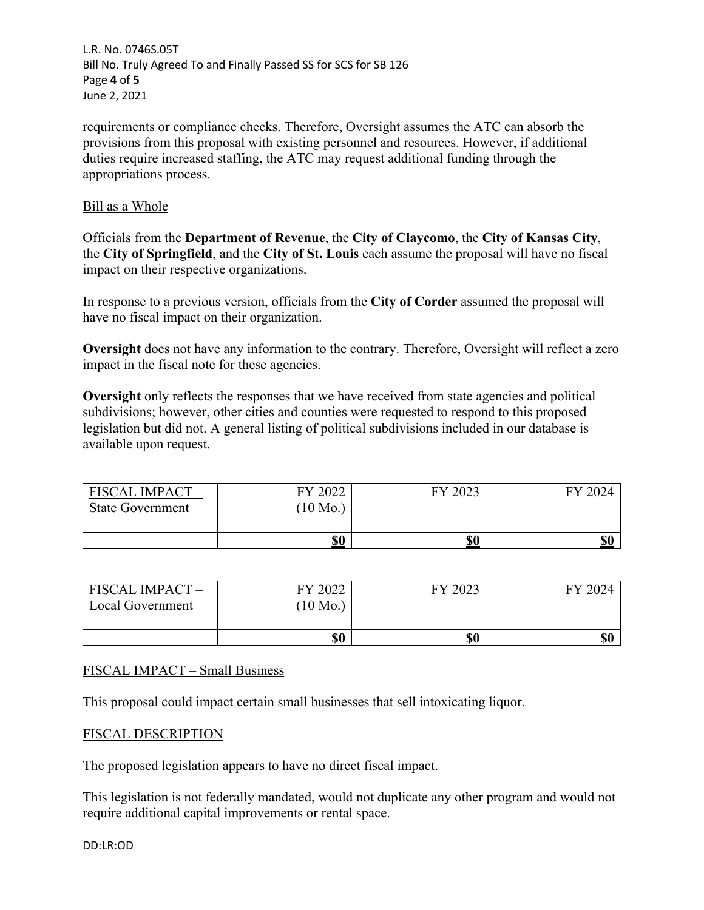L.R. No. 0746S.05T Bill No. Truly Agreed To and Finally Passed SS for SCS for SB 126 Page **4** of **5** June 2, 2021

requirements or compliance checks. Therefore, Oversight assumes the ATC can absorb the provisions from this proposal with existing personnel and resources. However, if additional duties require increased staffing, the ATC may request additional funding through the appropriations process.

#### Bill as a Whole

Officials from the **Department of Revenue**, the **City of Claycomo**, the **City of Kansas City**, the **City of Springfield**, and the **City of St. Louis** each assume the proposal will have no fiscal impact on their respective organizations.

In response to a previous version, officials from the **City of Corder** assumed the proposal will have no fiscal impact on their organization.

**Oversight** does not have any information to the contrary. Therefore, Oversight will reflect a zero impact in the fiscal note for these agencies.

**Oversight** only reflects the responses that we have received from state agencies and political subdivisions; however, other cities and counties were requested to respond to this proposed legislation but did not. A general listing of political subdivisions included in our database is available upon request.

| <b>FISCAL IMPACT -</b><br><b>State Government</b> | FY 2022<br>$10$ Mo. | FY 2023    | FY 2024    |
|---------------------------------------------------|---------------------|------------|------------|
|                                                   |                     |            |            |
|                                                   | \$0                 | <u>\$0</u> | <u>\$0</u> |

| FISCAL IMPACT-   | FY 2022   | FY 2023   | FY 2024    |
|------------------|-----------|-----------|------------|
| Local Government | $'10$ Mo. |           |            |
|                  |           |           |            |
|                  | \$0       | <u>s0</u> | <b>\$0</b> |

## FISCAL IMPACT – Small Business

This proposal could impact certain small businesses that sell intoxicating liquor.

## FISCAL DESCRIPTION

The proposed legislation appears to have no direct fiscal impact.

This legislation is not federally mandated, would not duplicate any other program and would not require additional capital improvements or rental space.

DD:LR:OD